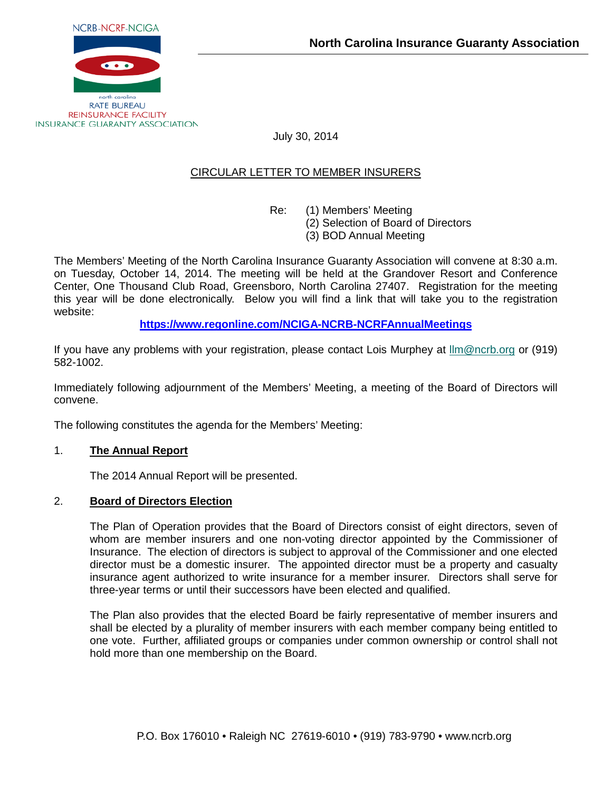

July 30, 2014

## CIRCULAR LETTER TO MEMBER INSURERS

Re: (1) Members' Meeting

(2) Selection of Board of Directors

(3) BOD Annual Meeting

The Members' Meeting of the North Carolina Insurance Guaranty Association will convene at 8:30 a.m. on Tuesday, October 14, 2014. The meeting will be held at the Grandover Resort and Conference Center, One Thousand Club Road, Greensboro, North Carolina 27407. Registration for the meeting this year will be done electronically. Below you will find a link that will take you to the registration website:

**<https://www.regonline.com/NCIGA-NCRB-NCRFAnnualMeetings>**

If you have any problems with your registration, please contact Lois Murphey at [llm@ncrb.org](mailto:llm@ncrb.org) or (919) 582-1002.

Immediately following adjournment of the Members' Meeting, a meeting of the Board of Directors will convene.

The following constitutes the agenda for the Members' Meeting:

## 1. **The Annual Report**

The 2014 Annual Report will be presented.

## 2. **Board of Directors Election**

The Plan of Operation provides that the Board of Directors consist of eight directors, seven of whom are member insurers and one non-voting director appointed by the Commissioner of Insurance. The election of directors is subject to approval of the Commissioner and one elected director must be a domestic insurer. The appointed director must be a property and casualty insurance agent authorized to write insurance for a member insurer. Directors shall serve for three-year terms or until their successors have been elected and qualified.

The Plan also provides that the elected Board be fairly representative of member insurers and shall be elected by a plurality of member insurers with each member company being entitled to one vote. Further, affiliated groups or companies under common ownership or control shall not hold more than one membership on the Board.